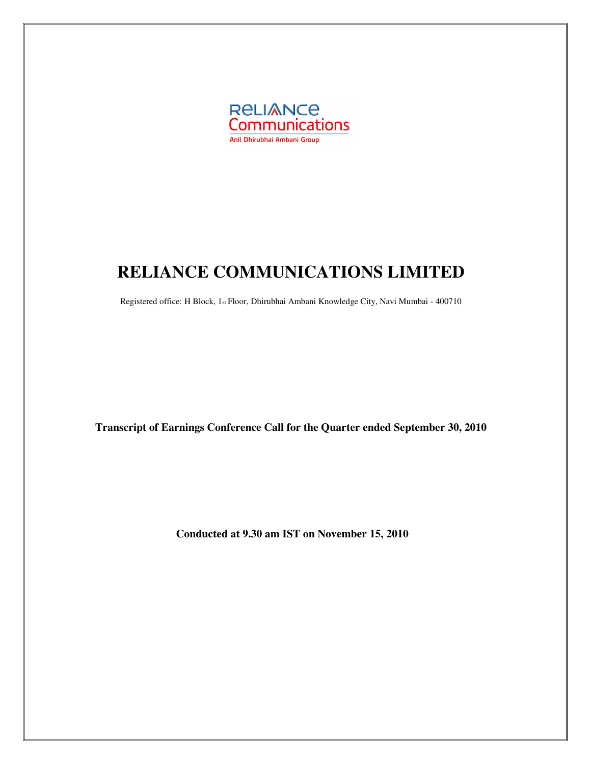

# **RELIANCE COMMUNICATIONS LIMITED**

Registered office: H Block, 1st Floor, Dhirubhai Ambani Knowledge City, Navi Mumbai - 400710

**Transcript of Earnings Conference Call for the Quarter ended September 30, 2010** 

**Conducted at 9.30 am IST on November 15, 2010**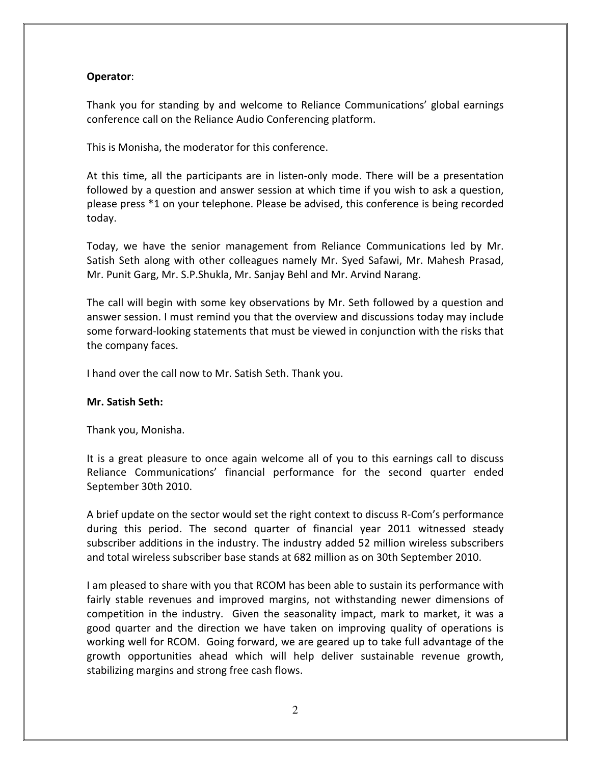# Operator:

Thank you for standing by and welcome to Reliance Communications' global earnings conference call on the Reliance Audio Conferencing platform.

This is Monisha, the moderator for this conference.

At this time, all the participants are in listen-only mode. There will be a presentation followed by a question and answer session at which time if you wish to ask a question, please press \*1 on your telephone. Please be advised, this conference is being recorded today.

Today, we have the senior management from Reliance Communications led by Mr. Satish Seth along with other colleagues namely Mr. Syed Safawi, Mr. Mahesh Prasad, Mr. Punit Garg, Mr. S.P.Shukla, Mr. Sanjay Behl and Mr. Arvind Narang.

The call will begin with some key observations by Mr. Seth followed by a question and answer session. I must remind you that the overview and discussions today may include some forward-looking statements that must be viewed in conjunction with the risks that the company faces.

I hand over the call now to Mr. Satish Seth. Thank you.

#### Mr. Satish Seth:

Thank you, Monisha.

It is a great pleasure to once again welcome all of you to this earnings call to discuss Reliance Communications' financial performance for the second quarter ended September 30th 2010.

A brief update on the sector would set the right context to discuss R-Com's performance during this period. The second quarter of financial year 2011 witnessed steady subscriber additions in the industry. The industry added 52 million wireless subscribers and total wireless subscriber base stands at 682 million as on 30th September 2010.

I am pleased to share with you that RCOM has been able to sustain its performance with fairly stable revenues and improved margins, not withstanding newer dimensions of competition in the industry. Given the seasonality impact, mark to market, it was a good quarter and the direction we have taken on improving quality of operations is working well for RCOM. Going forward, we are geared up to take full advantage of the growth opportunities ahead which will help deliver sustainable revenue growth, stabilizing margins and strong free cash flows.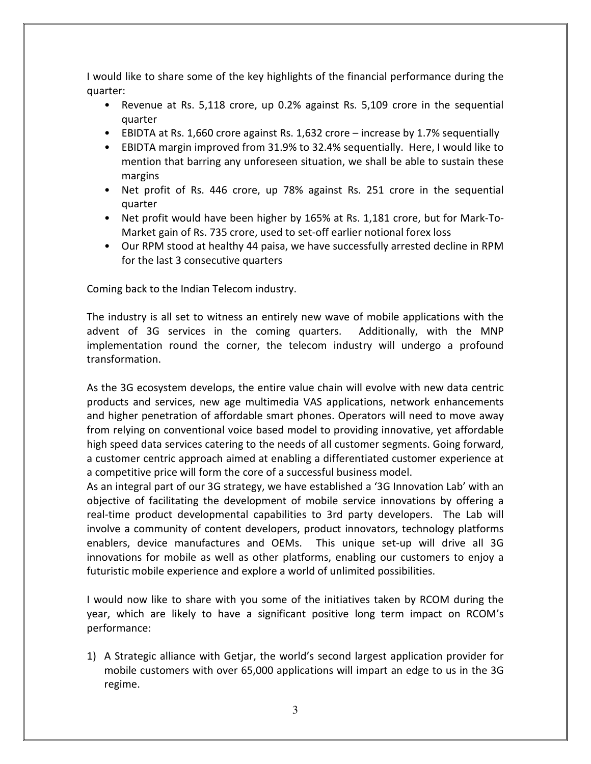I would like to share some of the key highlights of the financial performance during the quarter:

- Revenue at Rs. 5,118 crore, up 0.2% against Rs. 5,109 crore in the sequential quarter
- EBIDTA at Rs. 1,660 crore against Rs. 1,632 crore increase by 1.7% sequentially
- EBIDTA margin improved from 31.9% to 32.4% sequentially. Here, I would like to mention that barring any unforeseen situation, we shall be able to sustain these margins
- Net profit of Rs. 446 crore, up 78% against Rs. 251 crore in the sequential quarter
- Net profit would have been higher by 165% at Rs. 1,181 crore, but for Mark-To-Market gain of Rs. 735 crore, used to set-off earlier notional forex loss
- Our RPM stood at healthy 44 paisa, we have successfully arrested decline in RPM for the last 3 consecutive quarters

Coming back to the Indian Telecom industry.

The industry is all set to witness an entirely new wave of mobile applications with the advent of 3G services in the coming quarters. Additionally, with the MNP implementation round the corner, the telecom industry will undergo a profound transformation.

As the 3G ecosystem develops, the entire value chain will evolve with new data centric products and services, new age multimedia VAS applications, network enhancements and higher penetration of affordable smart phones. Operators will need to move away from relying on conventional voice based model to providing innovative, yet affordable high speed data services catering to the needs of all customer segments. Going forward, a customer centric approach aimed at enabling a differentiated customer experience at a competitive price will form the core of a successful business model.

As an integral part of our 3G strategy, we have established a '3G Innovation Lab' with an objective of facilitating the development of mobile service innovations by offering a real-time product developmental capabilities to 3rd party developers. The Lab will involve a community of content developers, product innovators, technology platforms enablers, device manufactures and OEMs. This unique set-up will drive all 3G innovations for mobile as well as other platforms, enabling our customers to enjoy a futuristic mobile experience and explore a world of unlimited possibilities.

I would now like to share with you some of the initiatives taken by RCOM during the year, which are likely to have a significant positive long term impact on RCOM's performance:

1) A Strategic alliance with Getjar, the world's second largest application provider for mobile customers with over 65,000 applications will impart an edge to us in the 3G regime.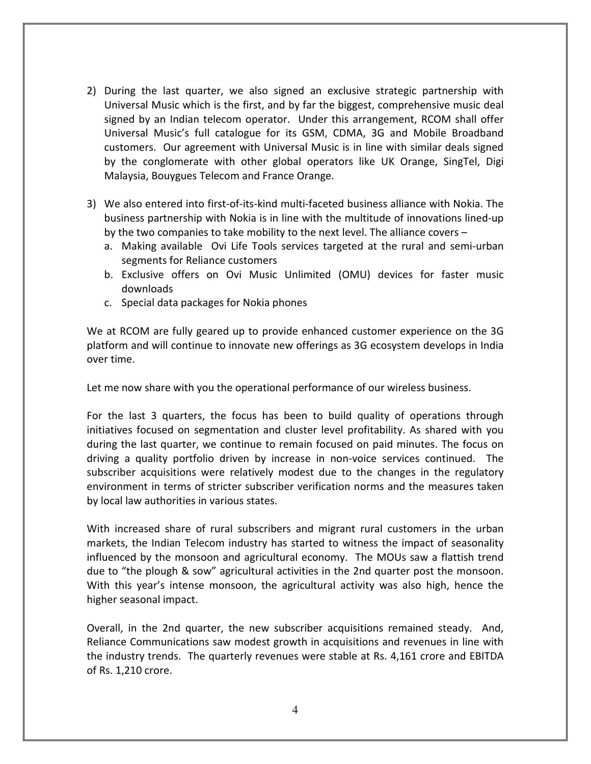- 2) During the last quarter, we also signed an exclusive strategic partnership with Universal Music which is the first, and by far the biggest, comprehensive music deal signed by an Indian telecom operator. Under this arrangement, RCOM shall offer Universal Music's full catalogue for its GSM, CDMA, 3G and Mobile Broadband customers. Our agreement with Universal Music is in line with similar deals signed by the conglomerate with other global operators like UK Orange, SingTel, Digi Malaysia, Bouygues Telecom and France Orange.
- 3) We also entered into first-of-its-kind multi-faceted business alliance with Nokia. The business partnership with Nokia is in line with the multitude of innovations lined-up by the two companies to take mobility to the next level. The alliance covers –
	- a. Making available Ovi Life Tools services targeted at the rural and semi-urban segments for Reliance customers
	- b. Exclusive offers on Ovi Music Unlimited (OMU) devices for faster music downloads
	- c. Special data packages for Nokia phones

We at RCOM are fully geared up to provide enhanced customer experience on the 3G platform and will continue to innovate new offerings as 3G ecosystem develops in India over time.

Let me now share with you the operational performance of our wireless business.

For the last 3 quarters, the focus has been to build quality of operations through initiatives focused on segmentation and cluster level profitability. As shared with you during the last quarter, we continue to remain focused on paid minutes. The focus on driving a quality portfolio driven by increase in non-voice services continued. The subscriber acquisitions were relatively modest due to the changes in the regulatory environment in terms of stricter subscriber verification norms and the measures taken by local law authorities in various states.

With increased share of rural subscribers and migrant rural customers in the urban markets, the Indian Telecom industry has started to witness the impact of seasonality influenced by the monsoon and agricultural economy. The MOUs saw a flattish trend due to "the plough & sow" agricultural activities in the 2nd quarter post the monsoon. With this year's intense monsoon, the agricultural activity was also high, hence the higher seasonal impact.

Overall, in the 2nd quarter, the new subscriber acquisitions remained steady. And, Reliance Communications saw modest growth in acquisitions and revenues in line with the industry trends. The quarterly revenues were stable at Rs. 4,161 crore and EBITDA of Rs. 1,210 crore.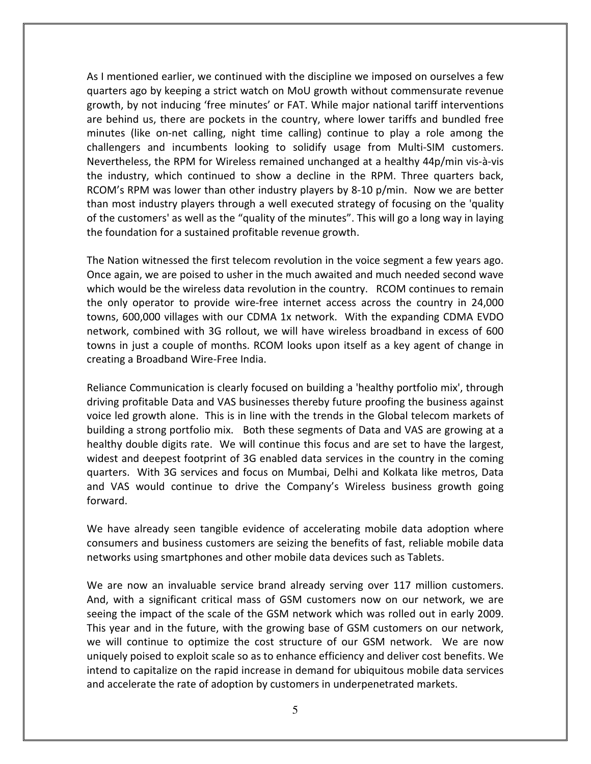As I mentioned earlier, we continued with the discipline we imposed on ourselves a few quarters ago by keeping a strict watch on MoU growth without commensurate revenue growth, by not inducing 'free minutes' or FAT. While major national tariff interventions are behind us, there are pockets in the country, where lower tariffs and bundled free minutes (like on-net calling, night time calling) continue to play a role among the challengers and incumbents looking to solidify usage from Multi-SIM customers. Nevertheless, the RPM for Wireless remained unchanged at a healthy 44p/min vis-à-vis the industry, which continued to show a decline in the RPM. Three quarters back, RCOM's RPM was lower than other industry players by 8-10 p/min. Now we are better than most industry players through a well executed strategy of focusing on the 'quality of the customers' as well as the "quality of the minutes". This will go a long way in laying the foundation for a sustained profitable revenue growth.

The Nation witnessed the first telecom revolution in the voice segment a few years ago. Once again, we are poised to usher in the much awaited and much needed second wave which would be the wireless data revolution in the country. RCOM continues to remain the only operator to provide wire-free internet access across the country in 24,000 towns, 600,000 villages with our CDMA 1x network. With the expanding CDMA EVDO network, combined with 3G rollout, we will have wireless broadband in excess of 600 towns in just a couple of months. RCOM looks upon itself as a key agent of change in creating a Broadband Wire-Free India.

Reliance Communication is clearly focused on building a 'healthy portfolio mix', through driving profitable Data and VAS businesses thereby future proofing the business against voice led growth alone. This is in line with the trends in the Global telecom markets of building a strong portfolio mix. Both these segments of Data and VAS are growing at a healthy double digits rate. We will continue this focus and are set to have the largest, widest and deepest footprint of 3G enabled data services in the country in the coming quarters. With 3G services and focus on Mumbai, Delhi and Kolkata like metros, Data and VAS would continue to drive the Company's Wireless business growth going forward.

We have already seen tangible evidence of accelerating mobile data adoption where consumers and business customers are seizing the benefits of fast, reliable mobile data networks using smartphones and other mobile data devices such as Tablets.

We are now an invaluable service brand already serving over 117 million customers. And, with a significant critical mass of GSM customers now on our network, we are seeing the impact of the scale of the GSM network which was rolled out in early 2009. This year and in the future, with the growing base of GSM customers on our network, we will continue to optimize the cost structure of our GSM network. We are now uniquely poised to exploit scale so as to enhance efficiency and deliver cost benefits. We intend to capitalize on the rapid increase in demand for ubiquitous mobile data services and accelerate the rate of adoption by customers in underpenetrated markets.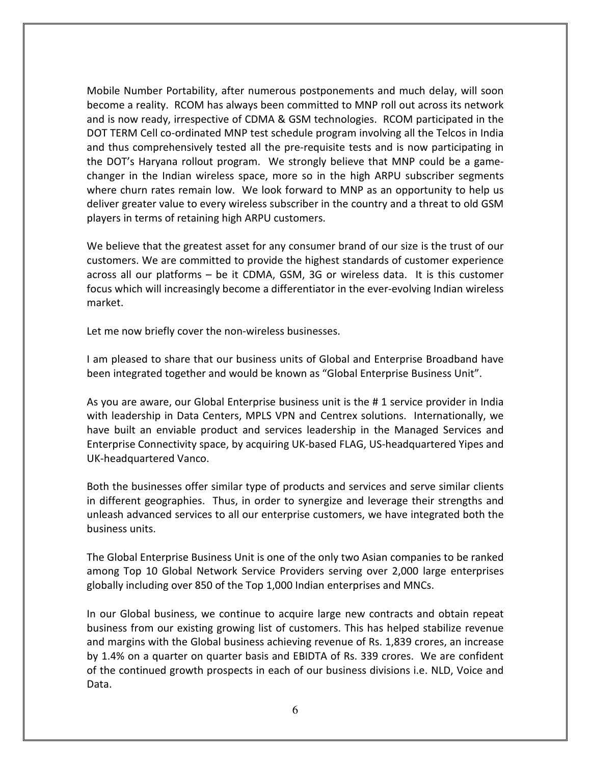Mobile Number Portability, after numerous postponements and much delay, will soon become a reality. RCOM has always been committed to MNP roll out across its network and is now ready, irrespective of CDMA & GSM technologies. RCOM participated in the DOT TERM Cell co-ordinated MNP test schedule program involving all the Telcos in India and thus comprehensively tested all the pre-requisite tests and is now participating in the DOT's Haryana rollout program. We strongly believe that MNP could be a gamechanger in the Indian wireless space, more so in the high ARPU subscriber segments where churn rates remain low. We look forward to MNP as an opportunity to help us deliver greater value to every wireless subscriber in the country and a threat to old GSM players in terms of retaining high ARPU customers.

We believe that the greatest asset for any consumer brand of our size is the trust of our customers. We are committed to provide the highest standards of customer experience across all our platforms – be it CDMA, GSM, 3G or wireless data. It is this customer focus which will increasingly become a differentiator in the ever-evolving Indian wireless market.

Let me now briefly cover the non-wireless businesses.

I am pleased to share that our business units of Global and Enterprise Broadband have been integrated together and would be known as "Global Enterprise Business Unit".

As you are aware, our Global Enterprise business unit is the # 1 service provider in India with leadership in Data Centers, MPLS VPN and Centrex solutions. Internationally, we have built an enviable product and services leadership in the Managed Services and Enterprise Connectivity space, by acquiring UK-based FLAG, US-headquartered Yipes and UK-headquartered Vanco.

Both the businesses offer similar type of products and services and serve similar clients in different geographies. Thus, in order to synergize and leverage their strengths and unleash advanced services to all our enterprise customers, we have integrated both the business units.

The Global Enterprise Business Unit is one of the only two Asian companies to be ranked among Top 10 Global Network Service Providers serving over 2,000 large enterprises globally including over 850 of the Top 1,000 Indian enterprises and MNCs.

In our Global business, we continue to acquire large new contracts and obtain repeat business from our existing growing list of customers. This has helped stabilize revenue and margins with the Global business achieving revenue of Rs. 1,839 crores, an increase by 1.4% on a quarter on quarter basis and EBIDTA of Rs. 339 crores. We are confident of the continued growth prospects in each of our business divisions i.e. NLD, Voice and Data.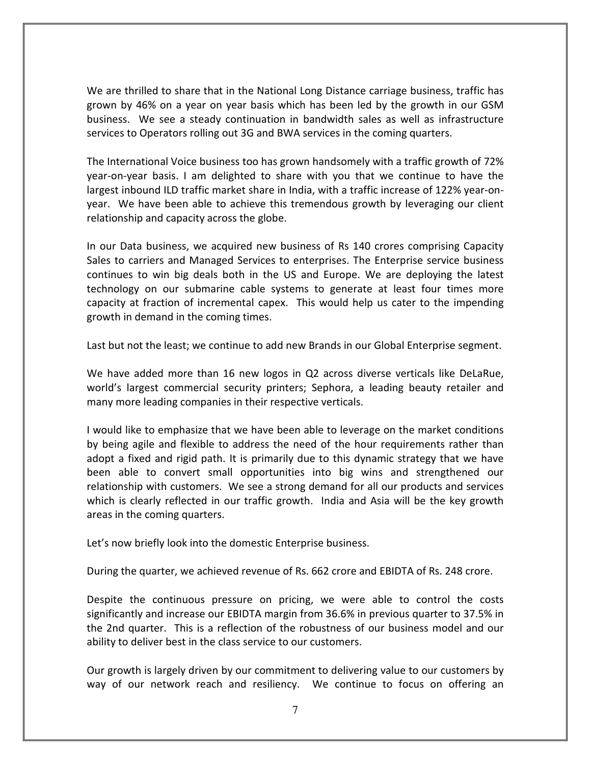We are thrilled to share that in the National Long Distance carriage business, traffic has grown by 46% on a year on year basis which has been led by the growth in our GSM business. We see a steady continuation in bandwidth sales as well as infrastructure services to Operators rolling out 3G and BWA services in the coming quarters.

The International Voice business too has grown handsomely with a traffic growth of 72% year-on-year basis. I am delighted to share with you that we continue to have the largest inbound ILD traffic market share in India, with a traffic increase of 122% year-onyear. We have been able to achieve this tremendous growth by leveraging our client relationship and capacity across the globe.

In our Data business, we acquired new business of Rs 140 crores comprising Capacity Sales to carriers and Managed Services to enterprises. The Enterprise service business continues to win big deals both in the US and Europe. We are deploying the latest technology on our submarine cable systems to generate at least four times more capacity at fraction of incremental capex. This would help us cater to the impending growth in demand in the coming times.

Last but not the least; we continue to add new Brands in our Global Enterprise segment.

We have added more than 16 new logos in Q2 across diverse verticals like DeLaRue, world's largest commercial security printers; Sephora, a leading beauty retailer and many more leading companies in their respective verticals.

I would like to emphasize that we have been able to leverage on the market conditions by being agile and flexible to address the need of the hour requirements rather than adopt a fixed and rigid path. It is primarily due to this dynamic strategy that we have been able to convert small opportunities into big wins and strengthened our relationship with customers. We see a strong demand for all our products and services which is clearly reflected in our traffic growth. India and Asia will be the key growth areas in the coming quarters.

Let's now briefly look into the domestic Enterprise business.

During the quarter, we achieved revenue of Rs. 662 crore and EBIDTA of Rs. 248 crore.

Despite the continuous pressure on pricing, we were able to control the costs significantly and increase our EBIDTA margin from 36.6% in previous quarter to 37.5% in the 2nd quarter. This is a reflection of the robustness of our business model and our ability to deliver best in the class service to our customers.

Our growth is largely driven by our commitment to delivering value to our customers by way of our network reach and resiliency. We continue to focus on offering an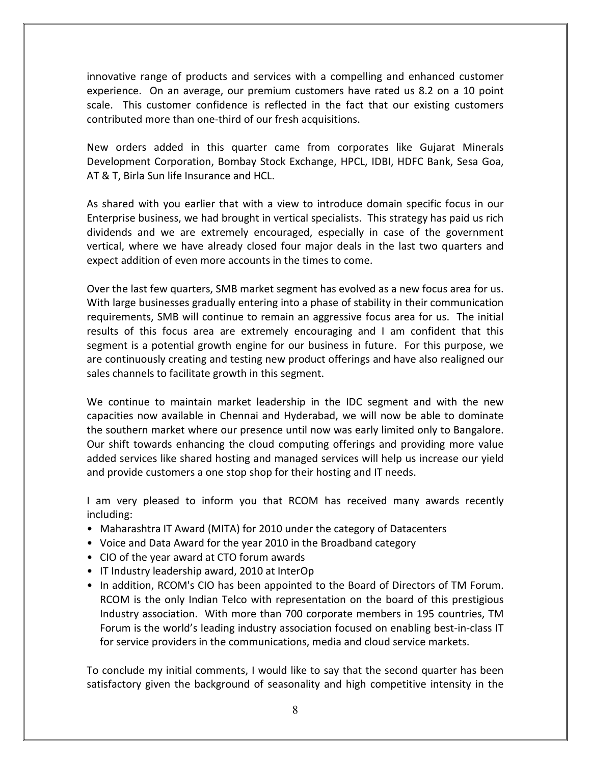innovative range of products and services with a compelling and enhanced customer experience. On an average, our premium customers have rated us 8.2 on a 10 point scale. This customer confidence is reflected in the fact that our existing customers contributed more than one-third of our fresh acquisitions.

New orders added in this quarter came from corporates like Gujarat Minerals Development Corporation, Bombay Stock Exchange, HPCL, IDBI, HDFC Bank, Sesa Goa, AT & T, Birla Sun life Insurance and HCL.

As shared with you earlier that with a view to introduce domain specific focus in our Enterprise business, we had brought in vertical specialists. This strategy has paid us rich dividends and we are extremely encouraged, especially in case of the government vertical, where we have already closed four major deals in the last two quarters and expect addition of even more accounts in the times to come.

Over the last few quarters, SMB market segment has evolved as a new focus area for us. With large businesses gradually entering into a phase of stability in their communication requirements, SMB will continue to remain an aggressive focus area for us. The initial results of this focus area are extremely encouraging and I am confident that this segment is a potential growth engine for our business in future. For this purpose, we are continuously creating and testing new product offerings and have also realigned our sales channels to facilitate growth in this segment.

We continue to maintain market leadership in the IDC segment and with the new capacities now available in Chennai and Hyderabad, we will now be able to dominate the southern market where our presence until now was early limited only to Bangalore. Our shift towards enhancing the cloud computing offerings and providing more value added services like shared hosting and managed services will help us increase our yield and provide customers a one stop shop for their hosting and IT needs.

I am very pleased to inform you that RCOM has received many awards recently including:

- Maharashtra IT Award (MITA) for 2010 under the category of Datacenters
- Voice and Data Award for the year 2010 in the Broadband category
- CIO of the year award at CTO forum awards
- IT Industry leadership award, 2010 at InterOp
- In addition, RCOM's CIO has been appointed to the Board of Directors of TM Forum. RCOM is the only Indian Telco with representation on the board of this prestigious Industry association. With more than 700 corporate members in 195 countries, TM Forum is the world's leading industry association focused on enabling best-in-class IT for service providers in the communications, media and cloud service markets.

To conclude my initial comments, I would like to say that the second quarter has been satisfactory given the background of seasonality and high competitive intensity in the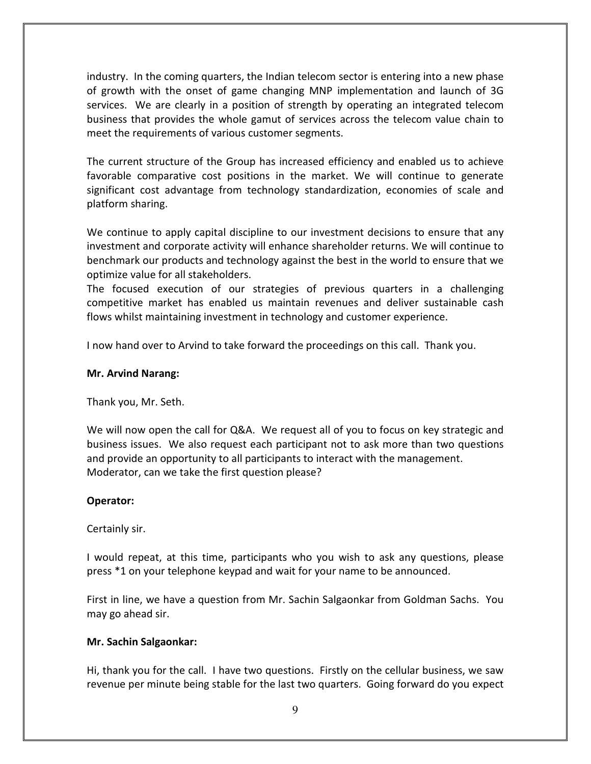industry. In the coming quarters, the Indian telecom sector is entering into a new phase of growth with the onset of game changing MNP implementation and launch of 3G services. We are clearly in a position of strength by operating an integrated telecom business that provides the whole gamut of services across the telecom value chain to meet the requirements of various customer segments.

The current structure of the Group has increased efficiency and enabled us to achieve favorable comparative cost positions in the market. We will continue to generate significant cost advantage from technology standardization, economies of scale and platform sharing.

We continue to apply capital discipline to our investment decisions to ensure that any investment and corporate activity will enhance shareholder returns. We will continue to benchmark our products and technology against the best in the world to ensure that we optimize value for all stakeholders.

The focused execution of our strategies of previous quarters in a challenging competitive market has enabled us maintain revenues and deliver sustainable cash flows whilst maintaining investment in technology and customer experience.

I now hand over to Arvind to take forward the proceedings on this call. Thank you.

# Mr. Arvind Narang:

Thank you, Mr. Seth.

We will now open the call for Q&A. We request all of you to focus on key strategic and business issues. We also request each participant not to ask more than two questions and provide an opportunity to all participants to interact with the management. Moderator, can we take the first question please?

# Operator:

Certainly sir.

I would repeat, at this time, participants who you wish to ask any questions, please press \*1 on your telephone keypad and wait for your name to be announced.

First in line, we have a question from Mr. Sachin Salgaonkar from Goldman Sachs. You may go ahead sir.

# Mr. Sachin Salgaonkar:

Hi, thank you for the call. I have two questions. Firstly on the cellular business, we saw revenue per minute being stable for the last two quarters. Going forward do you expect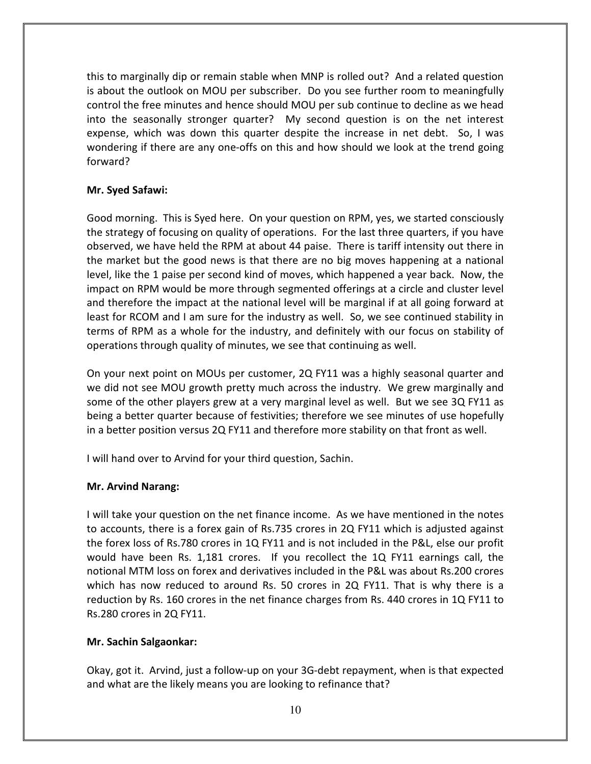this to marginally dip or remain stable when MNP is rolled out? And a related question is about the outlook on MOU per subscriber. Do you see further room to meaningfully control the free minutes and hence should MOU per sub continue to decline as we head into the seasonally stronger quarter? My second question is on the net interest expense, which was down this quarter despite the increase in net debt. So, I was wondering if there are any one-offs on this and how should we look at the trend going forward?

# Mr. Syed Safawi:

Good morning. This is Syed here. On your question on RPM, yes, we started consciously the strategy of focusing on quality of operations. For the last three quarters, if you have observed, we have held the RPM at about 44 paise. There is tariff intensity out there in the market but the good news is that there are no big moves happening at a national level, like the 1 paise per second kind of moves, which happened a year back. Now, the impact on RPM would be more through segmented offerings at a circle and cluster level and therefore the impact at the national level will be marginal if at all going forward at least for RCOM and I am sure for the industry as well. So, we see continued stability in terms of RPM as a whole for the industry, and definitely with our focus on stability of operations through quality of minutes, we see that continuing as well.

On your next point on MOUs per customer, 2Q FY11 was a highly seasonal quarter and we did not see MOU growth pretty much across the industry. We grew marginally and some of the other players grew at a very marginal level as well. But we see 3Q FY11 as being a better quarter because of festivities; therefore we see minutes of use hopefully in a better position versus 2Q FY11 and therefore more stability on that front as well.

I will hand over to Arvind for your third question, Sachin.

# Mr. Arvind Narang:

I will take your question on the net finance income. As we have mentioned in the notes to accounts, there is a forex gain of Rs.735 crores in 2Q FY11 which is adjusted against the forex loss of Rs.780 crores in 1Q FY11 and is not included in the P&L, else our profit would have been Rs. 1,181 crores. If you recollect the 1Q FY11 earnings call, the notional MTM loss on forex and derivatives included in the P&L was about Rs.200 crores which has now reduced to around Rs. 50 crores in 2Q FY11. That is why there is a reduction by Rs. 160 crores in the net finance charges from Rs. 440 crores in 1Q FY11 to Rs.280 crores in 2Q FY11.

# Mr. Sachin Salgaonkar:

Okay, got it. Arvind, just a follow-up on your 3G-debt repayment, when is that expected and what are the likely means you are looking to refinance that?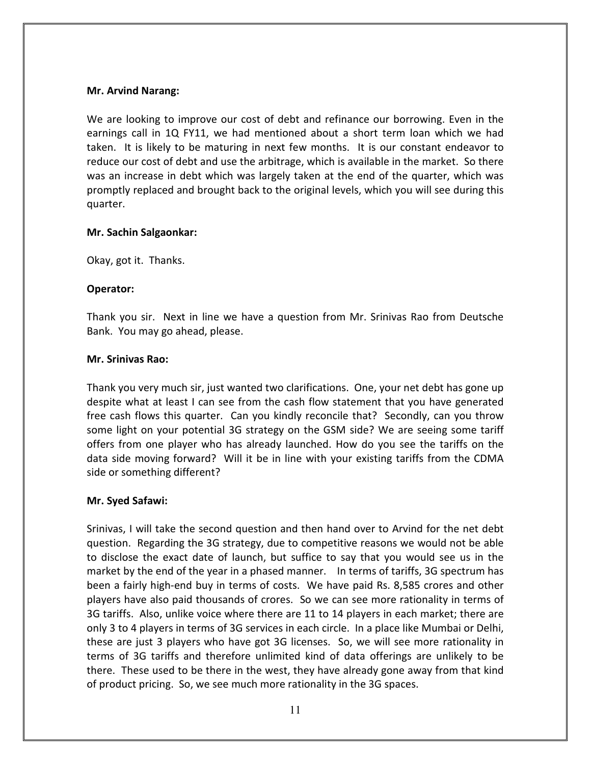#### Mr. Arvind Narang:

We are looking to improve our cost of debt and refinance our borrowing. Even in the earnings call in 1Q FY11, we had mentioned about a short term loan which we had taken. It is likely to be maturing in next few months. It is our constant endeavor to reduce our cost of debt and use the arbitrage, which is available in the market. So there was an increase in debt which was largely taken at the end of the quarter, which was promptly replaced and brought back to the original levels, which you will see during this quarter.

#### Mr. Sachin Salgaonkar:

Okay, got it. Thanks.

#### Operator:

Thank you sir. Next in line we have a question from Mr. Srinivas Rao from Deutsche Bank. You may go ahead, please.

#### Mr. Srinivas Rao:

Thank you very much sir, just wanted two clarifications. One, your net debt has gone up despite what at least I can see from the cash flow statement that you have generated free cash flows this quarter. Can you kindly reconcile that? Secondly, can you throw some light on your potential 3G strategy on the GSM side? We are seeing some tariff offers from one player who has already launched. How do you see the tariffs on the data side moving forward? Will it be in line with your existing tariffs from the CDMA side or something different?

#### Mr. Syed Safawi:

Srinivas, I will take the second question and then hand over to Arvind for the net debt question. Regarding the 3G strategy, due to competitive reasons we would not be able to disclose the exact date of launch, but suffice to say that you would see us in the market by the end of the year in a phased manner. In terms of tariffs, 3G spectrum has been a fairly high-end buy in terms of costs. We have paid Rs. 8,585 crores and other players have also paid thousands of crores. So we can see more rationality in terms of 3G tariffs. Also, unlike voice where there are 11 to 14 players in each market; there are only 3 to 4 players in terms of 3G services in each circle. In a place like Mumbai or Delhi, these are just 3 players who have got 3G licenses. So, we will see more rationality in terms of 3G tariffs and therefore unlimited kind of data offerings are unlikely to be there. These used to be there in the west, they have already gone away from that kind of product pricing. So, we see much more rationality in the 3G spaces.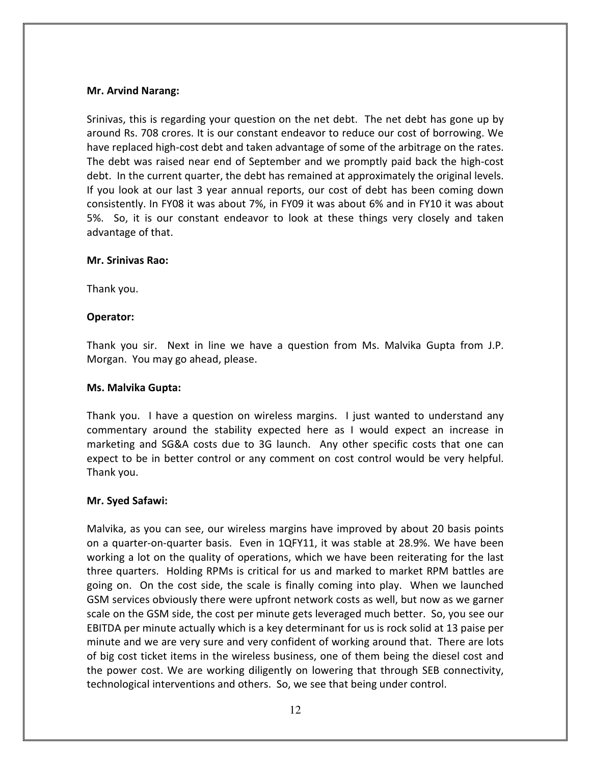## Mr. Arvind Narang:

Srinivas, this is regarding your question on the net debt. The net debt has gone up by around Rs. 708 crores. It is our constant endeavor to reduce our cost of borrowing. We have replaced high-cost debt and taken advantage of some of the arbitrage on the rates. The debt was raised near end of September and we promptly paid back the high-cost debt. In the current quarter, the debt has remained at approximately the original levels. If you look at our last 3 year annual reports, our cost of debt has been coming down consistently. In FY08 it was about 7%, in FY09 it was about 6% and in FY10 it was about 5%. So, it is our constant endeavor to look at these things very closely and taken advantage of that.

# Mr. Srinivas Rao:

Thank you.

# Operator:

Thank you sir. Next in line we have a question from Ms. Malvika Gupta from J.P. Morgan. You may go ahead, please.

#### Ms. Malvika Gupta:

Thank you. I have a question on wireless margins. I just wanted to understand any commentary around the stability expected here as I would expect an increase in marketing and SG&A costs due to 3G launch. Any other specific costs that one can expect to be in better control or any comment on cost control would be very helpful. Thank you.

#### Mr. Syed Safawi:

Malvika, as you can see, our wireless margins have improved by about 20 basis points on a quarter-on-quarter basis. Even in 1QFY11, it was stable at 28.9%. We have been working a lot on the quality of operations, which we have been reiterating for the last three quarters. Holding RPMs is critical for us and marked to market RPM battles are going on. On the cost side, the scale is finally coming into play. When we launched GSM services obviously there were upfront network costs as well, but now as we garner scale on the GSM side, the cost per minute gets leveraged much better. So, you see our EBITDA per minute actually which is a key determinant for us is rock solid at 13 paise per minute and we are very sure and very confident of working around that. There are lots of big cost ticket items in the wireless business, one of them being the diesel cost and the power cost. We are working diligently on lowering that through SEB connectivity, technological interventions and others. So, we see that being under control.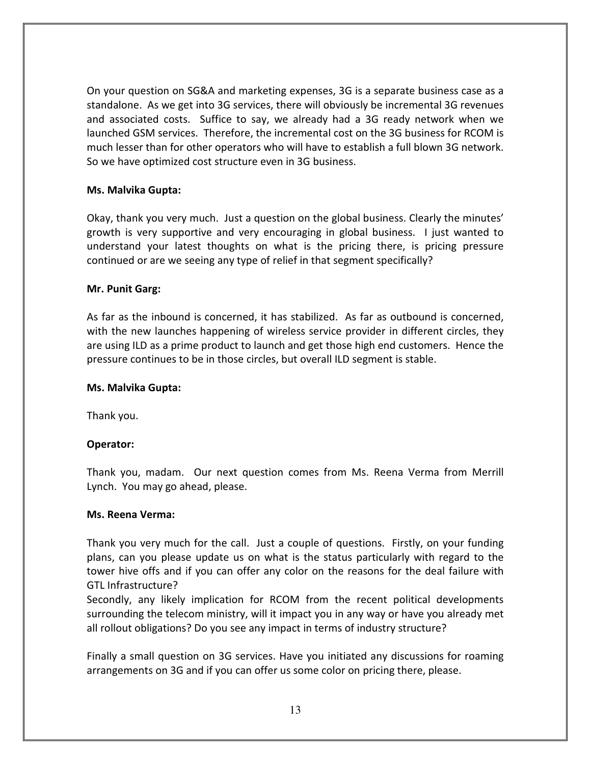On your question on SG&A and marketing expenses, 3G is a separate business case as a standalone. As we get into 3G services, there will obviously be incremental 3G revenues and associated costs. Suffice to say, we already had a 3G ready network when we launched GSM services. Therefore, the incremental cost on the 3G business for RCOM is much lesser than for other operators who will have to establish a full blown 3G network. So we have optimized cost structure even in 3G business.

# Ms. Malvika Gupta:

Okay, thank you very much. Just a question on the global business. Clearly the minutes' growth is very supportive and very encouraging in global business. I just wanted to understand your latest thoughts on what is the pricing there, is pricing pressure continued or are we seeing any type of relief in that segment specifically?

#### Mr. Punit Garg:

As far as the inbound is concerned, it has stabilized. As far as outbound is concerned, with the new launches happening of wireless service provider in different circles, they are using ILD as a prime product to launch and get those high end customers. Hence the pressure continues to be in those circles, but overall ILD segment is stable.

#### Ms. Malvika Gupta:

Thank you.

# Operator:

Thank you, madam. Our next question comes from Ms. Reena Verma from Merrill Lynch. You may go ahead, please.

#### Ms. Reena Verma:

Thank you very much for the call. Just a couple of questions. Firstly, on your funding plans, can you please update us on what is the status particularly with regard to the tower hive offs and if you can offer any color on the reasons for the deal failure with GTL Infrastructure?

Secondly, any likely implication for RCOM from the recent political developments surrounding the telecom ministry, will it impact you in any way or have you already met all rollout obligations? Do you see any impact in terms of industry structure?

Finally a small question on 3G services. Have you initiated any discussions for roaming arrangements on 3G and if you can offer us some color on pricing there, please.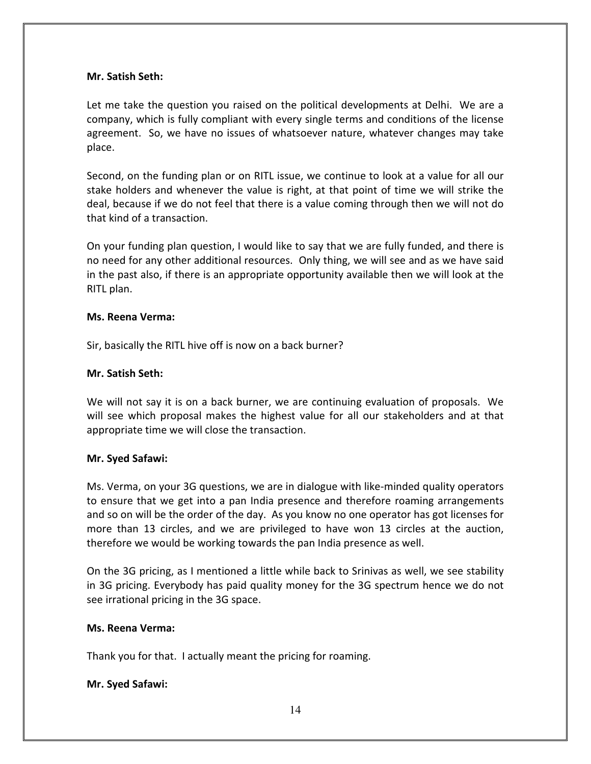#### Mr. Satish Seth:

Let me take the question you raised on the political developments at Delhi. We are a company, which is fully compliant with every single terms and conditions of the license agreement. So, we have no issues of whatsoever nature, whatever changes may take place.

Second, on the funding plan or on RITL issue, we continue to look at a value for all our stake holders and whenever the value is right, at that point of time we will strike the deal, because if we do not feel that there is a value coming through then we will not do that kind of a transaction.

On your funding plan question, I would like to say that we are fully funded, and there is no need for any other additional resources. Only thing, we will see and as we have said in the past also, if there is an appropriate opportunity available then we will look at the RITL plan.

#### Ms. Reena Verma:

Sir, basically the RITL hive off is now on a back burner?

#### Mr. Satish Seth:

We will not say it is on a back burner, we are continuing evaluation of proposals. We will see which proposal makes the highest value for all our stakeholders and at that appropriate time we will close the transaction.

#### Mr. Syed Safawi:

Ms. Verma, on your 3G questions, we are in dialogue with like-minded quality operators to ensure that we get into a pan India presence and therefore roaming arrangements and so on will be the order of the day. As you know no one operator has got licenses for more than 13 circles, and we are privileged to have won 13 circles at the auction, therefore we would be working towards the pan India presence as well.

On the 3G pricing, as I mentioned a little while back to Srinivas as well, we see stability in 3G pricing. Everybody has paid quality money for the 3G spectrum hence we do not see irrational pricing in the 3G space.

#### Ms. Reena Verma:

Thank you for that. I actually meant the pricing for roaming.

# Mr. Syed Safawi: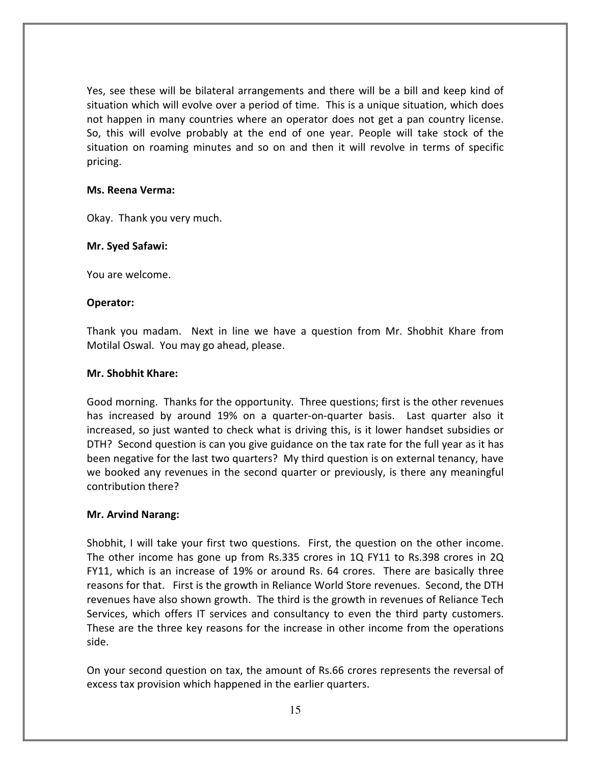Yes, see these will be bilateral arrangements and there will be a bill and keep kind of situation which will evolve over a period of time. This is a unique situation, which does not happen in many countries where an operator does not get a pan country license. So, this will evolve probably at the end of one year. People will take stock of the situation on roaming minutes and so on and then it will revolve in terms of specific pricing.

#### Ms. Reena Verma:

Okay. Thank you very much.

#### Mr. Syed Safawi:

You are welcome.

#### Operator:

Thank you madam. Next in line we have a question from Mr. Shobhit Khare from Motilal Oswal. You may go ahead, please.

#### Mr. Shobhit Khare:

Good morning. Thanks for the opportunity. Three questions; first is the other revenues has increased by around 19% on a quarter-on-quarter basis. Last quarter also it increased, so just wanted to check what is driving this, is it lower handset subsidies or DTH? Second question is can you give guidance on the tax rate for the full year as it has been negative for the last two quarters? My third question is on external tenancy, have we booked any revenues in the second quarter or previously, is there any meaningful contribution there?

#### Mr. Arvind Narang:

Shobhit, I will take your first two questions. First, the question on the other income. The other income has gone up from Rs.335 crores in 1Q FY11 to Rs.398 crores in 2Q FY11, which is an increase of 19% or around Rs. 64 crores. There are basically three reasons for that. First is the growth in Reliance World Store revenues. Second, the DTH revenues have also shown growth. The third is the growth in revenues of Reliance Tech Services, which offers IT services and consultancy to even the third party customers. These are the three key reasons for the increase in other income from the operations side.

On your second question on tax, the amount of Rs.66 crores represents the reversal of excess tax provision which happened in the earlier quarters.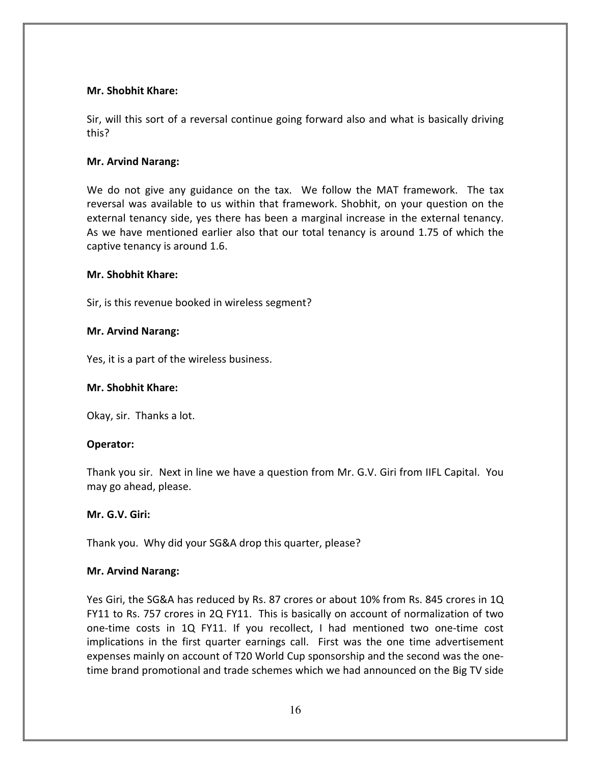#### Mr. Shobhit Khare:

Sir, will this sort of a reversal continue going forward also and what is basically driving this?

# Mr. Arvind Narang:

We do not give any guidance on the tax. We follow the MAT framework. The tax reversal was available to us within that framework. Shobhit, on your question on the external tenancy side, yes there has been a marginal increase in the external tenancy. As we have mentioned earlier also that our total tenancy is around 1.75 of which the captive tenancy is around 1.6.

#### Mr. Shobhit Khare:

Sir, is this revenue booked in wireless segment?

# Mr. Arvind Narang:

Yes, it is a part of the wireless business.

## Mr. Shobhit Khare:

Okay, sir. Thanks a lot.

# Operator:

Thank you sir. Next in line we have a question from Mr. G.V. Giri from IIFL Capital. You may go ahead, please.

#### Mr. G.V. Giri:

Thank you. Why did your SG&A drop this quarter, please?

#### Mr. Arvind Narang:

Yes Giri, the SG&A has reduced by Rs. 87 crores or about 10% from Rs. 845 crores in 1Q FY11 to Rs. 757 crores in 2Q FY11. This is basically on account of normalization of two one-time costs in 1Q FY11. If you recollect, I had mentioned two one-time cost implications in the first quarter earnings call. First was the one time advertisement expenses mainly on account of T20 World Cup sponsorship and the second was the onetime brand promotional and trade schemes which we had announced on the Big TV side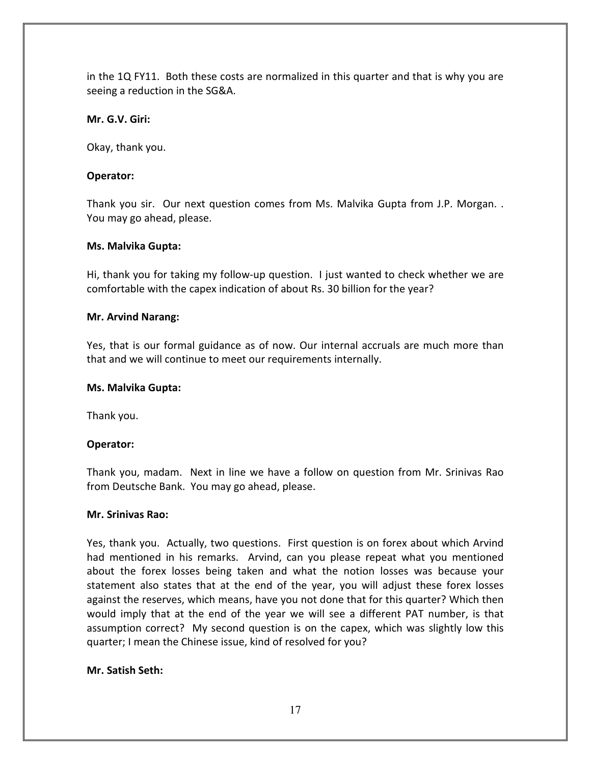in the 1Q FY11. Both these costs are normalized in this quarter and that is why you are seeing a reduction in the SG&A.

# Mr. G.V. Giri:

Okay, thank you.

# Operator:

Thank you sir. Our next question comes from Ms. Malvika Gupta from J.P. Morgan. . You may go ahead, please.

# Ms. Malvika Gupta:

Hi, thank you for taking my follow-up question. I just wanted to check whether we are comfortable with the capex indication of about Rs. 30 billion for the year?

# Mr. Arvind Narang:

Yes, that is our formal guidance as of now. Our internal accruals are much more than that and we will continue to meet our requirements internally.

## Ms. Malvika Gupta:

Thank you.

# Operator:

Thank you, madam. Next in line we have a follow on question from Mr. Srinivas Rao from Deutsche Bank. You may go ahead, please.

#### Mr. Srinivas Rao:

Yes, thank you. Actually, two questions. First question is on forex about which Arvind had mentioned in his remarks. Arvind, can you please repeat what you mentioned about the forex losses being taken and what the notion losses was because your statement also states that at the end of the year, you will adjust these forex losses against the reserves, which means, have you not done that for this quarter? Which then would imply that at the end of the year we will see a different PAT number, is that assumption correct? My second question is on the capex, which was slightly low this quarter; I mean the Chinese issue, kind of resolved for you?

# Mr. Satish Seth: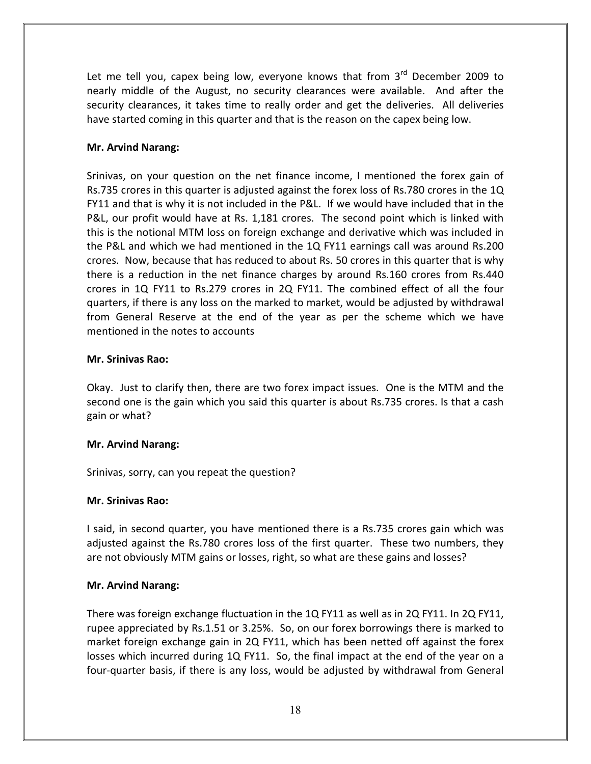Let me tell you, capex being low, everyone knows that from  $3^{rd}$  December 2009 to nearly middle of the August, no security clearances were available. And after the security clearances, it takes time to really order and get the deliveries. All deliveries have started coming in this quarter and that is the reason on the capex being low.

# Mr. Arvind Narang:

Srinivas, on your question on the net finance income, I mentioned the forex gain of Rs.735 crores in this quarter is adjusted against the forex loss of Rs.780 crores in the 1Q FY11 and that is why it is not included in the P&L. If we would have included that in the P&L, our profit would have at Rs. 1,181 crores. The second point which is linked with this is the notional MTM loss on foreign exchange and derivative which was included in the P&L and which we had mentioned in the 1Q FY11 earnings call was around Rs.200 crores. Now, because that has reduced to about Rs. 50 crores in this quarter that is why there is a reduction in the net finance charges by around Rs.160 crores from Rs.440 crores in 1Q FY11 to Rs.279 crores in 2Q FY11. The combined effect of all the four quarters, if there is any loss on the marked to market, would be adjusted by withdrawal from General Reserve at the end of the year as per the scheme which we have mentioned in the notes to accounts

#### Mr. Srinivas Rao:

Okay. Just to clarify then, there are two forex impact issues. One is the MTM and the second one is the gain which you said this quarter is about Rs.735 crores. Is that a cash gain or what?

#### Mr. Arvind Narang:

Srinivas, sorry, can you repeat the question?

#### Mr. Srinivas Rao:

I said, in second quarter, you have mentioned there is a Rs.735 crores gain which was adjusted against the Rs.780 crores loss of the first quarter. These two numbers, they are not obviously MTM gains or losses, right, so what are these gains and losses?

#### Mr. Arvind Narang:

There was foreign exchange fluctuation in the 1Q FY11 as well as in 2Q FY11. In 2Q FY11, rupee appreciated by Rs.1.51 or 3.25%. So, on our forex borrowings there is marked to market foreign exchange gain in 2Q FY11, which has been netted off against the forex losses which incurred during 1Q FY11. So, the final impact at the end of the year on a four-quarter basis, if there is any loss, would be adjusted by withdrawal from General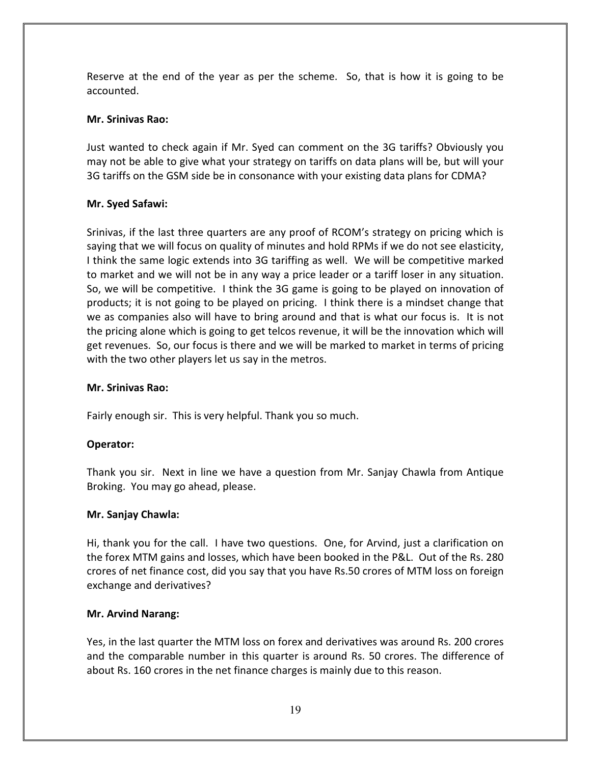Reserve at the end of the year as per the scheme. So, that is how it is going to be accounted.

# Mr. Srinivas Rao:

Just wanted to check again if Mr. Syed can comment on the 3G tariffs? Obviously you may not be able to give what your strategy on tariffs on data plans will be, but will your 3G tariffs on the GSM side be in consonance with your existing data plans for CDMA?

# Mr. Syed Safawi:

Srinivas, if the last three quarters are any proof of RCOM's strategy on pricing which is saying that we will focus on quality of minutes and hold RPMs if we do not see elasticity, I think the same logic extends into 3G tariffing as well. We will be competitive marked to market and we will not be in any way a price leader or a tariff loser in any situation. So, we will be competitive. I think the 3G game is going to be played on innovation of products; it is not going to be played on pricing. I think there is a mindset change that we as companies also will have to bring around and that is what our focus is. It is not the pricing alone which is going to get telcos revenue, it will be the innovation which will get revenues. So, our focus is there and we will be marked to market in terms of pricing with the two other players let us say in the metros.

# Mr. Srinivas Rao:

Fairly enough sir. This is very helpful. Thank you so much.

# Operator:

Thank you sir. Next in line we have a question from Mr. Sanjay Chawla from Antique Broking. You may go ahead, please.

#### Mr. Sanjay Chawla:

Hi, thank you for the call. I have two questions. One, for Arvind, just a clarification on the forex MTM gains and losses, which have been booked in the P&L. Out of the Rs. 280 crores of net finance cost, did you say that you have Rs.50 crores of MTM loss on foreign exchange and derivatives?

#### Mr. Arvind Narang:

Yes, in the last quarter the MTM loss on forex and derivatives was around Rs. 200 crores and the comparable number in this quarter is around Rs. 50 crores. The difference of about Rs. 160 crores in the net finance charges is mainly due to this reason.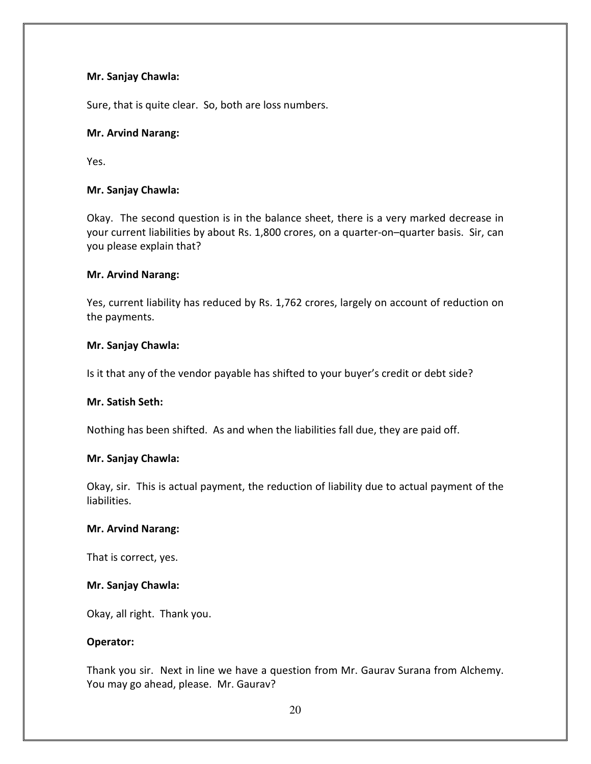## Mr. Sanjay Chawla:

Sure, that is quite clear. So, both are loss numbers.

# Mr. Arvind Narang:

Yes.

# Mr. Sanjay Chawla:

Okay. The second question is in the balance sheet, there is a very marked decrease in your current liabilities by about Rs. 1,800 crores, on a quarter-on–quarter basis. Sir, can you please explain that?

#### Mr. Arvind Narang:

Yes, current liability has reduced by Rs. 1,762 crores, largely on account of reduction on the payments.

#### Mr. Sanjay Chawla:

Is it that any of the vendor payable has shifted to your buyer's credit or debt side?

#### Mr. Satish Seth:

Nothing has been shifted. As and when the liabilities fall due, they are paid off.

#### Mr. Sanjay Chawla:

Okay, sir. This is actual payment, the reduction of liability due to actual payment of the liabilities.

#### Mr. Arvind Narang:

That is correct, yes.

#### Mr. Sanjay Chawla:

Okay, all right. Thank you.

#### Operator:

Thank you sir. Next in line we have a question from Mr. Gaurav Surana from Alchemy. You may go ahead, please. Mr. Gaurav?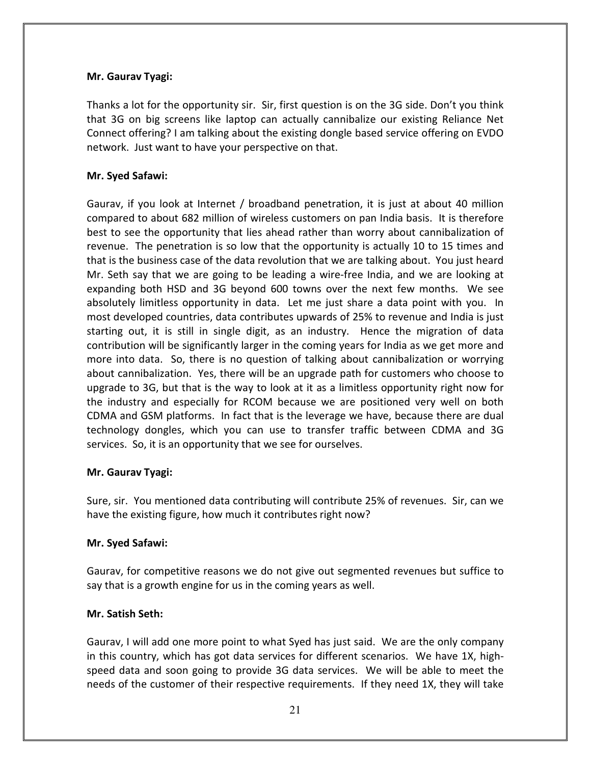# Mr. Gaurav Tyagi:

Thanks a lot for the opportunity sir. Sir, first question is on the 3G side. Don't you think that 3G on big screens like laptop can actually cannibalize our existing Reliance Net Connect offering? I am talking about the existing dongle based service offering on EVDO network. Just want to have your perspective on that.

# Mr. Syed Safawi:

Gaurav, if you look at Internet / broadband penetration, it is just at about 40 million compared to about 682 million of wireless customers on pan India basis. It is therefore best to see the opportunity that lies ahead rather than worry about cannibalization of revenue. The penetration is so low that the opportunity is actually 10 to 15 times and that is the business case of the data revolution that we are talking about. You just heard Mr. Seth say that we are going to be leading a wire-free India, and we are looking at expanding both HSD and 3G beyond 600 towns over the next few months. We see absolutely limitless opportunity in data. Let me just share a data point with you. In most developed countries, data contributes upwards of 25% to revenue and India is just starting out, it is still in single digit, as an industry. Hence the migration of data contribution will be significantly larger in the coming years for India as we get more and more into data. So, there is no question of talking about cannibalization or worrying about cannibalization. Yes, there will be an upgrade path for customers who choose to upgrade to 3G, but that is the way to look at it as a limitless opportunity right now for the industry and especially for RCOM because we are positioned very well on both CDMA and GSM platforms. In fact that is the leverage we have, because there are dual technology dongles, which you can use to transfer traffic between CDMA and 3G services. So, it is an opportunity that we see for ourselves.

#### Mr. Gaurav Tyagi:

Sure, sir. You mentioned data contributing will contribute 25% of revenues. Sir, can we have the existing figure, how much it contributes right now?

#### Mr. Syed Safawi:

Gaurav, for competitive reasons we do not give out segmented revenues but suffice to say that is a growth engine for us in the coming years as well.

#### Mr. Satish Seth:

Gaurav, I will add one more point to what Syed has just said. We are the only company in this country, which has got data services for different scenarios. We have 1X, highspeed data and soon going to provide 3G data services. We will be able to meet the needs of the customer of their respective requirements. If they need 1X, they will take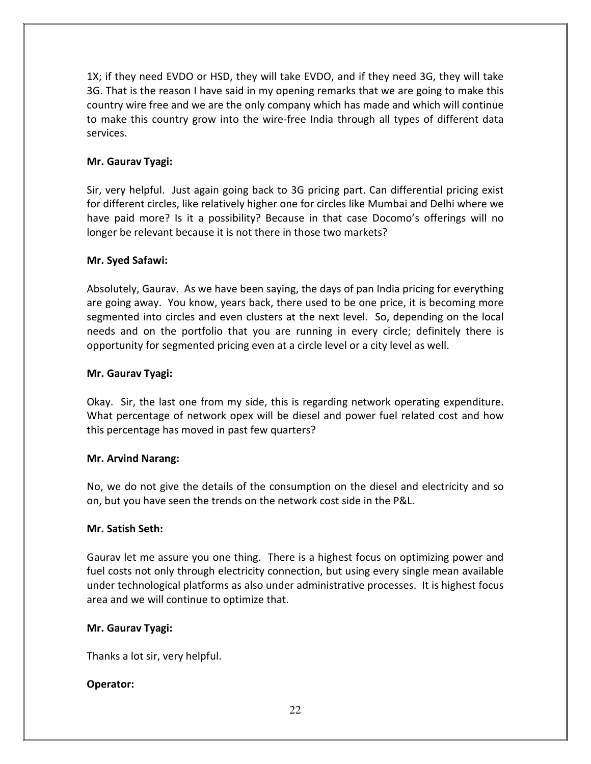1X; if they need EVDO or HSD, they will take EVDO, and if they need 3G, they will take 3G. That is the reason I have said in my opening remarks that we are going to make this country wire free and we are the only company which has made and which will continue to make this country grow into the wire-free India through all types of different data services.

# Mr. Gaurav Tyagi:

Sir, very helpful. Just again going back to 3G pricing part. Can differential pricing exist for different circles, like relatively higher one for circles like Mumbai and Delhi where we have paid more? Is it a possibility? Because in that case Docomo's offerings will no longer be relevant because it is not there in those two markets?

# Mr. Syed Safawi:

Absolutely, Gaurav. As we have been saying, the days of pan India pricing for everything are going away. You know, years back, there used to be one price, it is becoming more segmented into circles and even clusters at the next level. So, depending on the local needs and on the portfolio that you are running in every circle; definitely there is opportunity for segmented pricing even at a circle level or a city level as well.

# Mr. Gaurav Tyagi:

Okay. Sir, the last one from my side, this is regarding network operating expenditure. What percentage of network opex will be diesel and power fuel related cost and how this percentage has moved in past few quarters?

# Mr. Arvind Narang:

No, we do not give the details of the consumption on the diesel and electricity and so on, but you have seen the trends on the network cost side in the P&L.

#### Mr. Satish Seth:

Gaurav let me assure you one thing. There is a highest focus on optimizing power and fuel costs not only through electricity connection, but using every single mean available under technological platforms as also under administrative processes. It is highest focus area and we will continue to optimize that.

#### Mr. Gaurav Tyagi:

Thanks a lot sir, very helpful.

# Operator: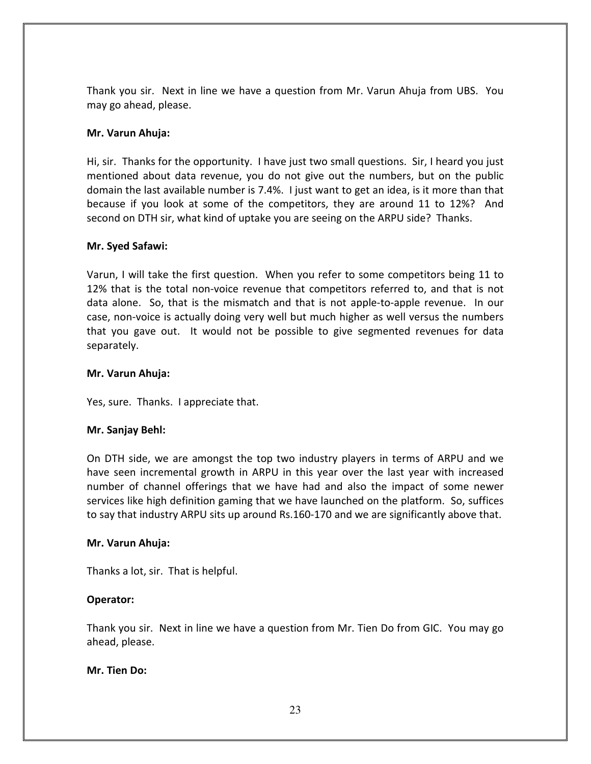Thank you sir. Next in line we have a question from Mr. Varun Ahuja from UBS. You may go ahead, please.

## Mr. Varun Ahuja:

Hi, sir. Thanks for the opportunity. I have just two small questions. Sir, I heard you just mentioned about data revenue, you do not give out the numbers, but on the public domain the last available number is 7.4%. I just want to get an idea, is it more than that because if you look at some of the competitors, they are around 11 to 12%? And second on DTH sir, what kind of uptake you are seeing on the ARPU side? Thanks.

#### Mr. Syed Safawi:

Varun, I will take the first question. When you refer to some competitors being 11 to 12% that is the total non-voice revenue that competitors referred to, and that is not data alone. So, that is the mismatch and that is not apple-to-apple revenue. In our case, non-voice is actually doing very well but much higher as well versus the numbers that you gave out. It would not be possible to give segmented revenues for data separately.

#### Mr. Varun Ahuja:

Yes, sure. Thanks. I appreciate that.

#### Mr. Sanjay Behl:

On DTH side, we are amongst the top two industry players in terms of ARPU and we have seen incremental growth in ARPU in this year over the last year with increased number of channel offerings that we have had and also the impact of some newer services like high definition gaming that we have launched on the platform. So, suffices to say that industry ARPU sits up around Rs.160-170 and we are significantly above that.

#### Mr. Varun Ahuja:

Thanks a lot, sir. That is helpful.

#### Operator:

Thank you sir. Next in line we have a question from Mr. Tien Do from GIC. You may go ahead, please.

#### Mr. Tien Do: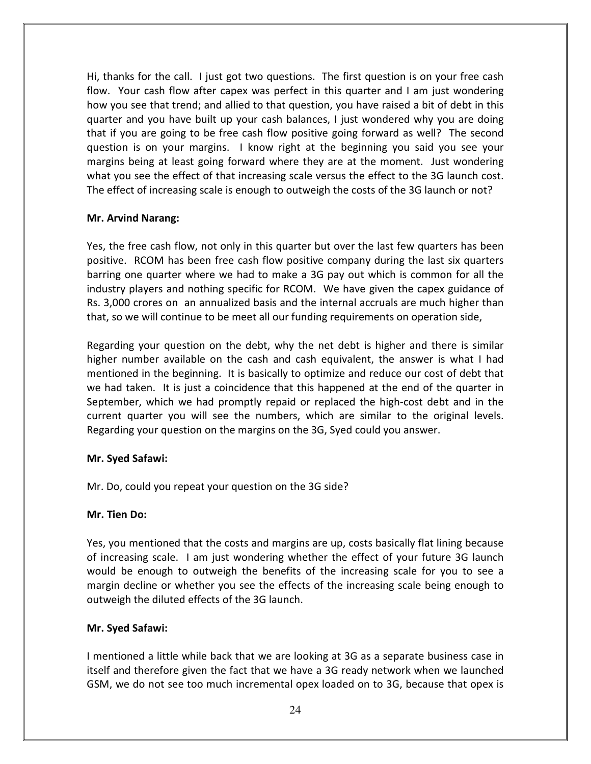Hi, thanks for the call. I just got two questions. The first question is on your free cash flow. Your cash flow after capex was perfect in this quarter and I am just wondering how you see that trend; and allied to that question, you have raised a bit of debt in this quarter and you have built up your cash balances, I just wondered why you are doing that if you are going to be free cash flow positive going forward as well? The second question is on your margins. I know right at the beginning you said you see your margins being at least going forward where they are at the moment. Just wondering what you see the effect of that increasing scale versus the effect to the 3G launch cost. The effect of increasing scale is enough to outweigh the costs of the 3G launch or not?

# Mr. Arvind Narang:

Yes, the free cash flow, not only in this quarter but over the last few quarters has been positive. RCOM has been free cash flow positive company during the last six quarters barring one quarter where we had to make a 3G pay out which is common for all the industry players and nothing specific for RCOM. We have given the capex guidance of Rs. 3,000 crores on an annualized basis and the internal accruals are much higher than that, so we will continue to be meet all our funding requirements on operation side,

Regarding your question on the debt, why the net debt is higher and there is similar higher number available on the cash and cash equivalent, the answer is what I had mentioned in the beginning. It is basically to optimize and reduce our cost of debt that we had taken. It is just a coincidence that this happened at the end of the quarter in September, which we had promptly repaid or replaced the high-cost debt and in the current quarter you will see the numbers, which are similar to the original levels. Regarding your question on the margins on the 3G, Syed could you answer.

#### Mr. Syed Safawi:

Mr. Do, could you repeat your question on the 3G side?

#### Mr. Tien Do:

Yes, you mentioned that the costs and margins are up, costs basically flat lining because of increasing scale. I am just wondering whether the effect of your future 3G launch would be enough to outweigh the benefits of the increasing scale for you to see a margin decline or whether you see the effects of the increasing scale being enough to outweigh the diluted effects of the 3G launch.

#### Mr. Syed Safawi:

I mentioned a little while back that we are looking at 3G as a separate business case in itself and therefore given the fact that we have a 3G ready network when we launched GSM, we do not see too much incremental opex loaded on to 3G, because that opex is